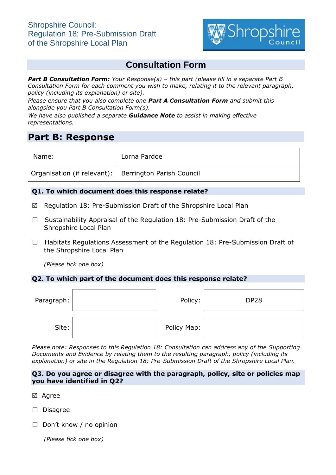

# **Consultation Form**

*Part B Consultation Form: Your Response(s) – this part (please fill in a separate Part B Consultation Form for each comment you wish to make, relating it to the relevant paragraph, policy (including its explanation) or site).*

*Please ensure that you also complete one Part A Consultation Form and submit this alongside you Part B Consultation Form(s).*

*We have also published a separate Guidance Note to assist in making effective representations.*

## **Part B: Response**

| Name:                                                   | Lorna Pardoe |
|---------------------------------------------------------|--------------|
| Organisation (if relevant):   Berrington Parish Council |              |

## **Q1. To which document does this response relate?**

- $\boxtimes$  Regulation 18: Pre-Submission Draft of the Shropshire Local Plan
- ☐ Sustainability Appraisal of the Regulation 18: Pre-Submission Draft of the Shropshire Local Plan
- □ Habitats Regulations Assessment of the Regulation 18: Pre-Submission Draft of the Shropshire Local Plan

*(Please tick one box)*

## **Q2. To which part of the document does this response relate?**

| Paragraph: | Policy:     | <b>DP28</b> |
|------------|-------------|-------------|
| Site:      | Policy Map: |             |

*Please note: Responses to this Regulation 18: Consultation can address any of the Supporting Documents and Evidence by relating them to the resulting paragraph, policy (including its explanation) or site in the Regulation 18: Pre-Submission Draft of the Shropshire Local Plan.*

#### **Q3. Do you agree or disagree with the paragraph, policy, site or policies map you have identified in Q2?**

- ⊠ Agree
- ☐ Disagree
- ☐ Don't know / no opinion

*(Please tick one box)*